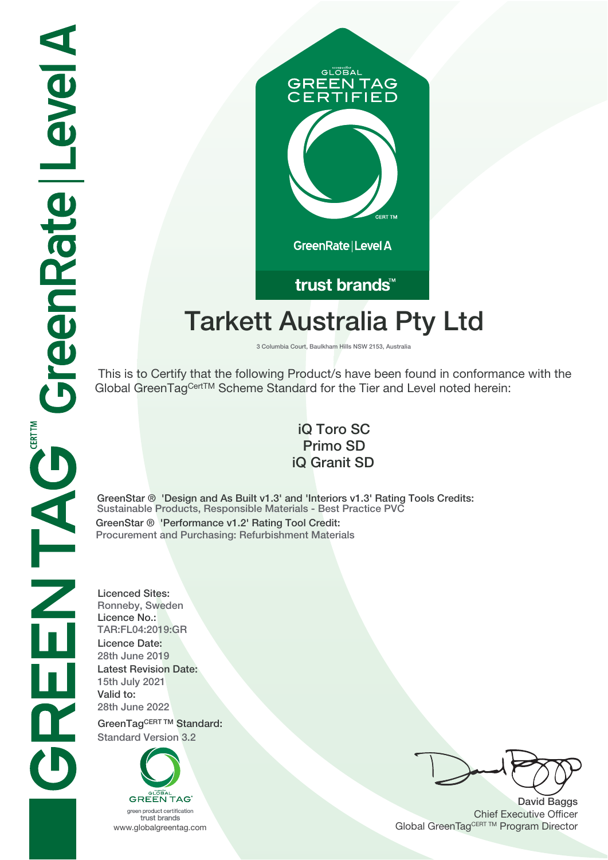# GLOBAL **GREEN TAG IFIED** GreenRate | Level A

## trust brands<sup>™</sup>

# **Tarkett Australia Pty Ltd**

**3 Columbia Court, Baulkham Hills NSW 2153, Australia**

 This is to Certify that the following Product/s have been found in conformance with the Global GreenTagCertTM Scheme Standard for the Tier and Level noted herein:

### **iQ Toro SC Primo SD iQ Granit SD**

**GreenStar ® 'Design and As Built v1.**3**' and 'Interiors v1.**3**' Rating Tools Credits: Sustainable Products, Responsible Materials - Best Practice PVC GreenStar ® 'Performance v1.2' Rating Tool Credit: Procurement and Purchasing: Refurbishment Materials**

**Licenced Sites: Ronneby, Sweden Licence No.: TAR:FL04:2019:GR Licence Date: 28th June 2019 Latest Revision Date: 15th July 2021 Valid to: 28th June 2022**

**GreenTagCERT TM Standard: Standard Version 3.2**



**David Baggs** Chief Executive Officer WWW.globalgreentag.com **Program Director** Channel Global GreenTagCERT TM Program Director